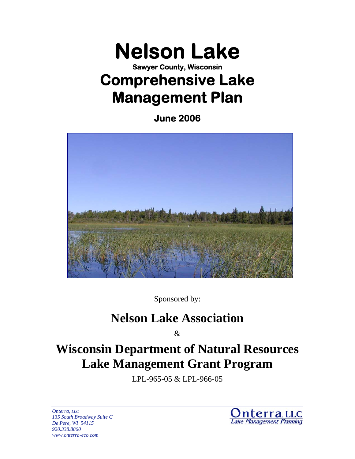# **Nelson Lake Sawyer County, Wisconsin Comprehensive Lake Management Plan**

**June 2006** 



Sponsored by:

# **Nelson Lake Association**

 $\mathcal{R}$ 

# **Wisconsin Department of Natural Resources Lake Management Grant Program**

LPL-965-05 & LPL-966-05

*Onterra, LLC 135 South Broadway Suite C De Pere, WI 54115 920.338.8860 www.onterra-eco.com* 

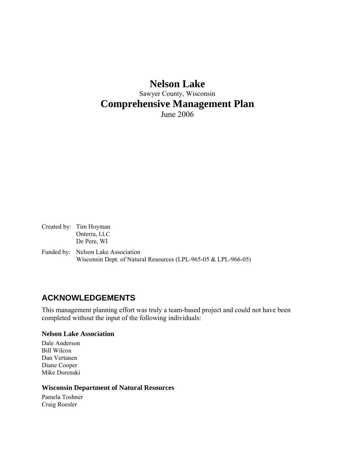# **Nelson Lake**  Sawyer County, Wisconsin **Comprehensive Management Plan**  June 2006

Created by: Tim Hoyman Onterra, LLC De Pere, WI

Funded by: Nelson Lake Association Wisconsin Dept. of Natural Resources (LPL-965-05 & LPL-966-05)

# **ACKNOWLEDGEMENTS**

This management planning effort was truly a team-based project and could not have been completed without the input of the following individuals:

#### **Nelson Lake Association**

Dale Anderson Bill Wilcox Dan Vertanen Diane Cooper Mike Dorenski

#### **Wisconsin Department of Natural Resources**

Pamela Toshner Craig Roesler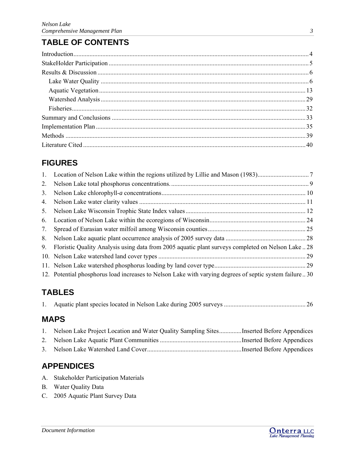# **TABLE OF CONTENTS**

# **FIGURES**

| 4. |                                                                                                        |  |
|----|--------------------------------------------------------------------------------------------------------|--|
| 5. |                                                                                                        |  |
| 6. |                                                                                                        |  |
| 7. |                                                                                                        |  |
| 8. |                                                                                                        |  |
| 9. | Floristic Quality Analysis using data from 2005 aquatic plant surveys completed on Nelson Lake 28      |  |
|    |                                                                                                        |  |
|    |                                                                                                        |  |
|    | 12. Potential phosphorus load increases to Nelson Lake with varying degrees of septic system failure30 |  |

# **TABLES**

|--|--|--|--|

# **MAPS**

|                | Nelson Lake Project Location and Water Quality Sampling SitesInserted Before Appendices |  |
|----------------|-----------------------------------------------------------------------------------------|--|
|                |                                                                                         |  |
| 3 <sub>1</sub> |                                                                                         |  |

# **APPENDICES**

- A. Stakeholder Participation Materials
- B. Water Quality Data
- C. 2005 Aquatic Plant Survey Data

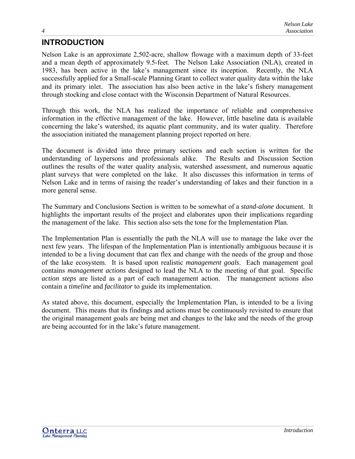# <span id="page-4-0"></span>**INTRODUCTION**

Nelson Lake is an approximate 2,502-acre, shallow flowage with a maximum depth of 33-feet and a mean depth of approximately 9.5-feet. The Nelson Lake Association (NLA), created in 1983, has been active in the lake's management since its inception. Recently, the NLA successfully applied for a Small-scale Planning Grant to collect water quality data within the lake and its primary inlet. The association has also been active in the lake's fishery management through stocking and close contact with the Wisconsin Department of Natural Resources.

Through this work, the NLA has realized the importance of reliable and comprehensive information in the effective management of the lake. However, little baseline data is available concerning the lake's watershed, its aquatic plant community, and its water quality. Therefore the association initiated the management planning project reported on here.

The document is divided into three primary sections and each section is written for the understanding of laypersons and professionals alike. The Results and Discussion Section outlines the results of the water quality analysis, watershed assessment, and numerous aquatic plant surveys that were completed on the lake. It also discusses this information in terms of Nelson Lake and in terms of raising the reader's understanding of lakes and their function in a more general sense.

The Summary and Conclusions Section is written to be somewhat of a *stand-alone* document. It highlights the important results of the project and elaborates upon their implications regarding the management of the lake. This section also sets the tone for the Implementation Plan.

The Implementation Plan is essentially the path the NLA will use to manage the lake over the next few years. The lifespan of the Implementation Plan is intentionally ambiguous because it is intended to be a living document that can flex and change with the needs of the group and those of the lake ecosystem. It is based upon realistic *management goals*. Each management goal contains *management actions* designed to lead the NLA to the meeting of that goal. Specific *action steps* are listed as a part of each management action. The management actions also contain a *timeline* and *facilitator* to guide its implementation.

As stated above, this document, especially the Implementation Plan, is intended to be a living document. This means that its findings and actions must be continuously revisited to ensure that the original management goals are being met and changes to the lake and the needs of the group are being accounted for in the lake's future management.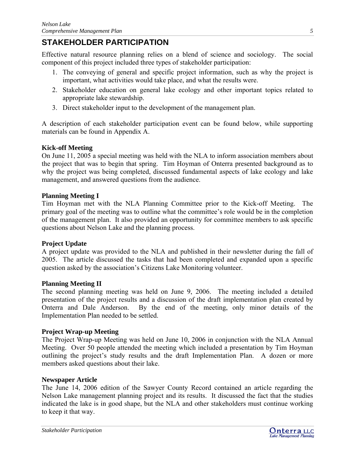# <span id="page-5-0"></span>**STAKEHOLDER PARTICIPATION**

Effective natural resource planning relies on a blend of science and sociology. The social component of this project included three types of stakeholder participation:

- 1. The conveying of general and specific project information, such as why the project is important, what activities would take place, and what the results were.
- 2. Stakeholder education on general lake ecology and other important topics related to appropriate lake stewardship.
- 3. Direct stakeholder input to the development of the management plan.

A description of each stakeholder participation event can be found below, while supporting materials can be found in Appendix A.

## **Kick-off Meeting**

On June 11, 2005 a special meeting was held with the NLA to inform association members about the project that was to begin that spring. Tim Hoyman of Onterra presented background as to why the project was being completed, discussed fundamental aspects of lake ecology and lake management, and answered questions from the audience.

### **Planning Meeting I**

Tim Hoyman met with the NLA Planning Committee prior to the Kick-off Meeting. The primary goal of the meeting was to outline what the committee's role would be in the completion of the management plan. It also provided an opportunity for committee members to ask specific questions about Nelson Lake and the planning process.

### **Project Update**

A project update was provided to the NLA and published in their newsletter during the fall of 2005. The article discussed the tasks that had been completed and expanded upon a specific question asked by the association's Citizens Lake Monitoring volunteer.

### **Planning Meeting II**

The second planning meeting was held on June 9, 2006. The meeting included a detailed presentation of the project results and a discussion of the draft implementation plan created by Onterra and Dale Anderson. By the end of the meeting, only minor details of the Implementation Plan needed to be settled.

### **Project Wrap-up Meeting**

The Project Wrap-up Meeting was held on June 10, 2006 in conjunction with the NLA Annual Meeting. Over 50 people attended the meeting which included a presentation by Tim Hoyman outlining the project's study results and the draft Implementation Plan. A dozen or more members asked questions about their lake.

### **Newspaper Article**

The June 14, 2006 edition of the Sawyer County Record contained an article regarding the Nelson Lake management planning project and its results. It discussed the fact that the studies indicated the lake is in good shape, but the NLA and other stakeholders must continue working to keep it that way.

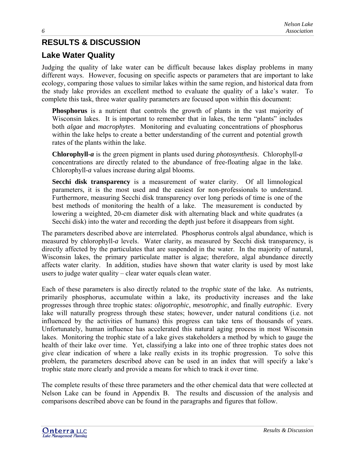# <span id="page-6-0"></span>**RESULTS & DISCUSSION**

# **Lake Water Quality**

Judging the quality of lake water can be difficult because lakes display problems in many different ways. However, focusing on specific aspects or parameters that are important to lake ecology, comparing those values to similar lakes within the same region, and historical data from the study lake provides an excellent method to evaluate the quality of a lake's water. To complete this task, three water quality parameters are focused upon within this document:

**Phosphorus** is a nutrient that controls the growth of plants in the vast majority of Wisconsin lakes. It is important to remember that in lakes, the term "plants" includes both *algae* and *macrophytes*. Monitoring and evaluating concentrations of phosphorus within the lake helps to create a better understanding of the current and potential growth rates of the plants within the lake.

**Chlorophyll-***a* is the green pigment in plants used during *photosynthesis*. Chlorophyll-*a* concentrations are directly related to the abundance of free-floating algae in the lake. Chlorophyll-*a* values increase during algal blooms.

**Secchi disk transparency** is a measurement of water clarity. Of all limnological parameters, it is the most used and the easiest for non-professionals to understand. Furthermore, measuring Secchi disk transparency over long periods of time is one of the best methods of monitoring the health of a lake. The measurement is conducted by lowering a weighted, 20-cm diameter disk with alternating black and white quadrates (a Secchi disk) into the water and recording the depth just before it disappears from sight.

The parameters described above are interrelated. Phosphorus controls algal abundance, which is measured by chlorophyll-*a* levels. Water clarity, as measured by Secchi disk transparency, is directly affected by the particulates that are suspended in the water. In the majority of natural, Wisconsin lakes, the primary particulate matter is algae; therefore, algal abundance directly affects water clarity. In addition, studies have shown that water clarity is used by most lake users to judge water quality – clear water equals clean water.

Each of these parameters is also directly related to the *trophic state* of the lake. As nutrients, primarily phosphorus, accumulate within a lake, its productivity increases and the lake progresses through three trophic states: *oligotrophic*, *mesotrophic*, and finally *eutrophic*. Every lake will naturally progress through these states; however, under natural conditions (i.e. not influenced by the activities of humans) this progress can take tens of thousands of years. Unfortunately, human influence has accelerated this natural aging process in most Wisconsin lakes. Monitoring the trophic state of a lake gives stakeholders a method by which to gauge the health of their lake over time. Yet, classifying a lake into one of three trophic states does not give clear indication of where a lake really exists in its trophic progression. To solve this problem, the parameters described above can be used in an index that will specify a lake's trophic state more clearly and provide a means for which to track it over time.

The complete results of these three parameters and the other chemical data that were collected at Nelson Lake can be found in Appendix B. The results and discussion of the analysis and comparisons described above can be found in the paragraphs and figures that follow.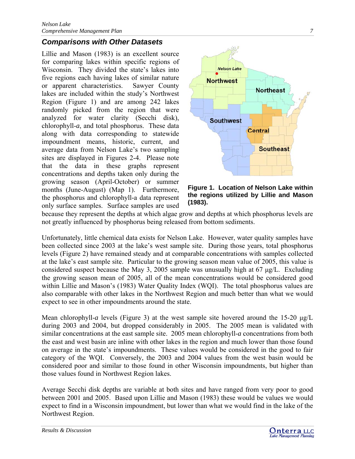# *Comparisons with Other Datasets*

Lillie and Mason (1983) is an excellent source for comparing lakes within specific regions of Wisconsin. They divided the state's lakes into five regions each having lakes of similar nature or apparent characteristics. Sawyer County lakes are included within the study's Northwest Region (Figure 1) and are among 242 lakes randomly picked from the region that were analyzed for water clarity (Secchi disk), chlorophyll-*a*, and total phosphorus. These data along with data corresponding to statewide impoundment means, historic, current, and average data from Nelson Lake's two sampling sites are displayed in Figures 2-4. Please note that the data in these graphs represent concentrations and depths taken only during the growing season (April-October) or summer months (June-August) (Map 1). Furthermore, the phosphorus and chlorophyll*-*a data represent only surface samples. Surface samples are used



**Figure 1. Location of Nelson Lake within the regions utilized by Lillie and Mason (1983).** 

because they represent the depths at which algae grow and depths at which phosphorus levels are not greatly influenced by phosphorus being released from bottom sediments.

Unfortunately, little chemical data exists for Nelson Lake. However, water quality samples have been collected since 2003 at the lake's west sample site. During those years, total phosphorus levels (Figure 2) have remained steady and at comparable concentrations with samples collected at the lake's east sample site. Particular to the growing season mean value of 2005, this value is considered suspect because the May 3, 2005 sample was unusually high at 67 μg/L. Excluding the growing season mean of 2005, all of the mean concentrations would be considered good within Lillie and Mason's (1983) Water Quality Index (WQI). The total phosphorus values are also comparable with other lakes in the Northwest Region and much better than what we would expect to see in other impoundments around the state.

Mean chlorophyll-*a* levels (Figure 3) at the west sample site hovered around the 15-20 μg/L during 2003 and 2004, but dropped considerably in 2005. The 2005 mean is validated with similar concentrations at the east sample site. 2005 mean chlorophyll-*a* concentrations from both the east and west basin are inline with other lakes in the region and much lower than those found on average in the state's impoundments. These values would be considered in the good to fair category of the WQI. Conversely, the 2003 and 2004 values from the west basin would be considered poor and similar to those found in other Wisconsin impoundments, but higher than those values found in Northwest Region lakes.

Average Secchi disk depths are variable at both sites and have ranged from very poor to good between 2001 and 2005. Based upon Lillie and Mason (1983) these would be values we would expect to find in a Wisconsin impoundment, but lower than what we would find in the lake of the Northwest Region.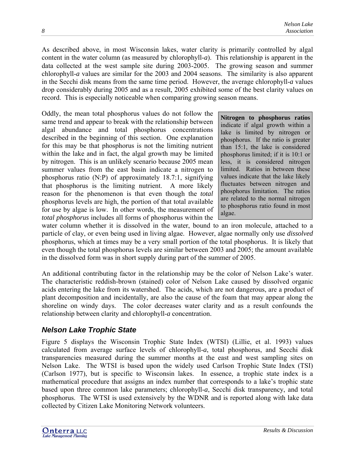As described above, in most Wisconsin lakes, water clarity is primarily controlled by algal content in the water column (as measured by chlorophyll-*a*). This relationship is apparent in the data collected at the west sample site during 2003-2005. The growing season and summer chlorophyll-*a* values are similar for the 2003 and 2004 seasons. The similarity is also apparent in the Secchi disk means from the same time period. However, the average chlorophyll-*a* values drop considerably during 2005 and as a result, 2005 exhibited some of the best clarity values on record. This is especially noticeable when comparing growing season means.

Oddly, the mean total phosphorus values do not follow the same trend and appear to break with the relationship between algal abundance and total phosphorus concentrations described in the beginning of this section. One explanation for this may be that phosphorus is not the limiting nutrient within the lake and in fact, the algal growth may be limited by nitrogen. This is an unlikely scenario because 2005 mean summer values from the east basin indicate a nitrogen to phosphorus ratio (N:P) of approximately 18.7:1, signifying that phosphorus is the limiting nutrient. A more likely reason for the phenomenon is that even though the *total* phosphorus levels are high, the portion of that total available for use by algae is low. In other words, the measurement of *total phosphorus* includes all forms of phosphorus within the

**Nitrogen to phosphorus ratios**  indicate if algal growth within a lake is limited by nitrogen or phosphorus. If the ratio is greater than 15:1, the lake is considered phosphorus limited; if it is 10:1 or less, it is considered nitrogen limited. Ratios in between these values indicate that the lake likely fluctuates between nitrogen and phosphorus limitation. The ratios are related to the normal nitrogen to phosphorus ratio found in most algae.

water column whether it is dissolved in the water, bound to an iron molecule, attached to a particle of clay, or even being used in living algae. However, algae normally only use *dissolved* phosphorus, which at times may be a very small portion of the total phosphorus. It is likely that even though the total phosphorus levels are similar between 2003 and 2005; the amount available in the dissolved form was in short supply during part of the summer of 2005.

An additional contributing factor in the relationship may be the color of Nelson Lake's water. The characteristic reddish-brown (stained) color of Nelson Lake caused by dissolved organic acids entering the lake from its watershed. The acids, which are not dangerous, are a product of plant decomposition and incidentally, are also the cause of the foam that may appear along the shoreline on windy days. The color decreases water clarity and as a result confounds the relationship between clarity and chlorophyll-*a* concentration.

# *Nelson Lake Trophic State*

Figure 5 displays the Wisconsin Trophic State Index (WTSI) (Lillie, et al. 1993) values calculated from average surface levels of chlorophyll-*a*, total phosphorus, and Secchi disk transparencies measured during the summer months at the east and west sampling sites on Nelson Lake. The WTSI is based upon the widely used Carlson Trophic State Index (TSI) (Carlson 1977), but is specific to Wisconsin lakes. In essence, a trophic state index is a mathematical procedure that assigns an index number that corresponds to a lake's trophic state based upon three common lake parameters; chlorophyll-*a*, Secchi disk transparency, and total phosphorus. The WTSI is used extensively by the WDNR and is reported along with lake data collected by Citizen Lake Monitoring Network volunteers.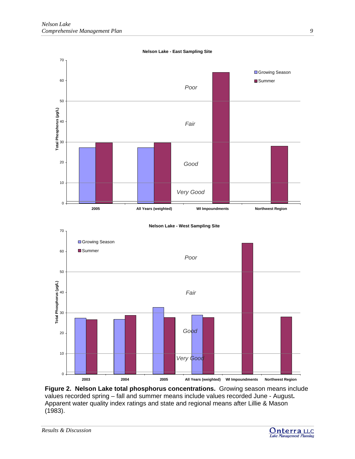

**Figure 2. Nelson Lake total phosphorus concentrations.** Growing season means include values recorded spring – fall and summer means include values recorded June - August**.** Apparent water quality index ratings and state and regional means after Lillie & Mason (1983).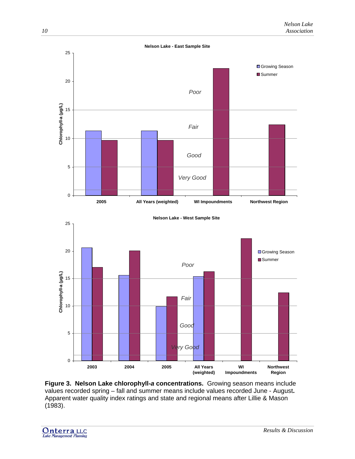

**Figure 3. Nelson Lake chlorophyll-***a* **concentrations.** Growing season means include values recorded spring – fall and summer means include values recorded June - August**.** Apparent water quality index ratings and state and regional means after Lillie & Mason (1983).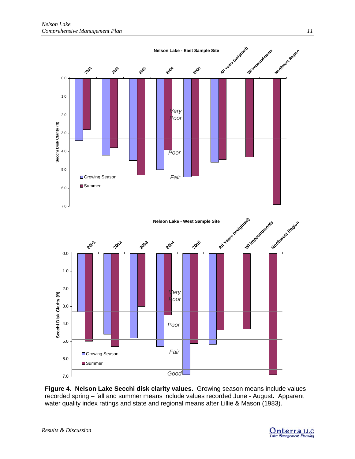

**Figure 4. Nelson Lake Secchi disk clarity values.** Growing season means include values recorded spring – fall and summer means include values recorded June - August**.** Apparent water quality index ratings and state and regional means after Lillie & Mason (1983).

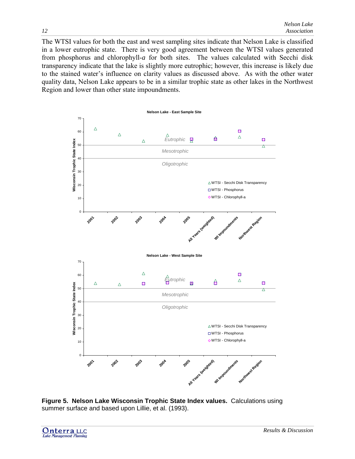The WTSI values for both the east and west sampling sites indicate that Nelson Lake is classified in a lower eutrophic state. There is very good agreement between the WTSI values generated from phosphorus and chlorophyll-*a* for both sites. The values calculated with Secchi disk transparency indicate that the lake is slightly more eutrophic; however, this increase is likely due to the stained water's influence on clarity values as discussed above. As with the other water quality data, Nelson Lake appears to be in a similar trophic state as other lakes in the Northwest Region and lower than other state impoundments.



**Figure 5. Nelson Lake Wisconsin Trophic State Index values.** Calculations using summer surface and based upon Lillie, et al. (1993).

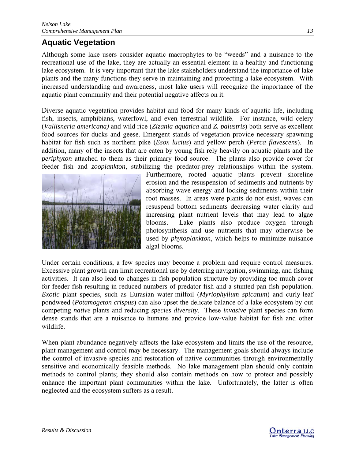# <span id="page-13-0"></span>**Aquatic Vegetation**

Although some lake users consider aquatic macrophytes to be "weeds" and a nuisance to the recreational use of the lake, they are actually an essential element in a healthy and functioning lake ecosystem. It is very important that the lake stakeholders understand the importance of lake plants and the many functions they serve in maintaining and protecting a lake ecosystem. With increased understanding and awareness, most lake users will recognize the importance of the aquatic plant community and their potential negative affects on it.

Diverse aquatic vegetation provides habitat and food for many kinds of aquatic life, including fish, insects, amphibians, waterfowl, and even terrestrial wildlife. For instance, wild celery (*Vallisneria americana)* and wild rice (*Zizania aquatica* and *Z. palustris*) both serve as excellent food sources for ducks and geese. Emergent stands of vegetation provide necessary spawning habitat for fish such as northern pike (*Esox lucius*) and yellow perch (*Perca flavescens*). In addition, many of the insects that are eaten by young fish rely heavily on aquatic plants and the *periphyton* attached to them as their primary food source. The plants also provide cover for feeder fish and *zooplankton*, stabilizing the predator-prey relationships within the system.



Furthermore, rooted aquatic plants prevent shoreline erosion and the resuspension of sediments and nutrients by absorbing wave energy and locking sediments within their root masses. In areas were plants do not exist, waves can resuspend bottom sediments decreasing water clarity and increasing plant nutrient levels that may lead to algae blooms. Lake plants also produce oxygen through photosynthesis and use nutrients that may otherwise be used by *phytoplankton*, which helps to minimize nuisance algal blooms.

Under certain conditions, a few species may become a problem and require control measures. Excessive plant growth can limit recreational use by deterring navigation, swimming, and fishing activities. It can also lead to changes in fish population structure by providing too much cover for feeder fish resulting in reduced numbers of predator fish and a stunted pan-fish population. *Exotic* plant species, such as Eurasian water-milfoil (*Myriophyllum spicatum*) and curly-leaf pondweed (*Potamogeton crispus*) can also upset the delicate balance of a lake ecosystem by out competing *native* plants and reducing *species diversity*. These *invasive* plant species can form dense stands that are a nuisance to humans and provide low-value habitat for fish and other wildlife.

When plant abundance negatively affects the lake ecosystem and limits the use of the resource, plant management and control may be necessary. The management goals should always include the control of invasive species and restoration of native communities through environmentally sensitive and economically feasible methods. No lake management plan should only contain methods to control plants; they should also contain methods on how to protect and possibly enhance the important plant communities within the lake. Unfortunately, the latter is often neglected and the ecosystem suffers as a result.

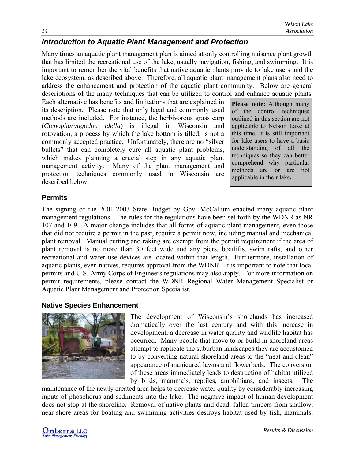# *Introduction to Aquatic Plant Management and Protection*

Many times an aquatic plant management plan is aimed at only controlling nuisance plant growth that has limited the recreational use of the lake, usually navigation, fishing, and swimming. It is important to remember the vital benefits that native aquatic plants provide to lake users and the lake ecosystem, as described above. Therefore, all aquatic plant management plans also need to address the enhancement and protection of the aquatic plant community. Below are general descriptions of the many techniques that can be utilized to control and enhance aquatic plants.

Each alternative has benefits and limitations that are explained in its description. Please note that only legal and commonly used methods are included. For instance, the herbivorous grass carp (*Ctenopharyngodon idella*) is illegal in Wisconsin and rotovation, a process by which the lake bottom is tilled, is not a commonly accepted practice. Unfortunately, there are no "silver bullets" that can completely cure all aquatic plant problems, which makes planning a crucial step in any aquatic plant management activity. Many of the plant management and protection techniques commonly used in Wisconsin are described below.

**Please note:** Although many of the control techniques outlined in this section are not applicable to Nelson Lake at this time, it is still important for lake users to have a basic understanding of all the techniques so they can better comprehend why particular methods are or are not applicable in their lake**.** 

## **Permits**

The signing of the 2001-2003 State Budget by Gov. McCallum enacted many aquatic plant management regulations. The rules for the regulations have been set forth by the WDNR as NR 107 and 109. A major change includes that all forms of aquatic plant management, even those that did not require a permit in the past, require a permit now, including manual and mechanical plant removal. Manual cutting and raking are exempt from the permit requirement if the area of plant removal is no more than 30 feet wide and any piers, boatlifts, swim rafts, and other recreational and water use devices are located within that length. Furthermore, installation of aquatic plants, even natives, requires approval from the WDNR. It is important to note that local permits and U.S. Army Corps of Engineers regulations may also apply. For more information on permit requirements, please contact the WDNR Regional Water Management Specialist or Aquatic Plant Management and Protection Specialist.

### **Native Species Enhancement**



The development of Wisconsin's shorelands has increased dramatically over the last century and with this increase in development, a decrease in water quality and wildlife habitat has occurred. Many people that move to or build in shoreland areas attempt to replicate the suburban landscapes they are accustomed to by converting natural shoreland areas to the "neat and clean" appearance of manicured lawns and flowerbeds. The conversion of these areas immediately leads to destruction of habitat utilized by birds, mammals, reptiles, amphibians, and insects. The

maintenance of the newly created area helps to decrease water quality by considerably increasing inputs of phosphorus and sediments into the lake. The negative impact of human development does not stop at the shoreline. Removal of native plants and dead, fallen timbers from shallow, near-shore areas for boating and swimming activities destroys habitat used by fish, mammals,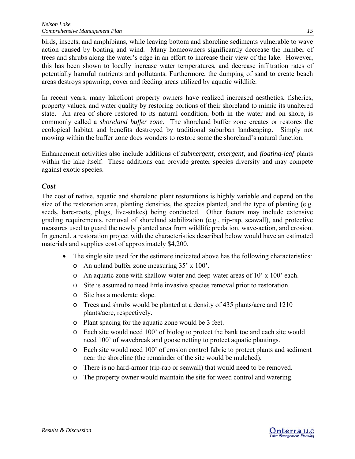birds, insects, and amphibians, while leaving bottom and shoreline sediments vulnerable to wave action caused by boating and wind. Many homeowners significantly decrease the number of trees and shrubs along the water's edge in an effort to increase their view of the lake. However, this has been shown to locally increase water temperatures, and decrease infiltration rates of potentially harmful nutrients and pollutants. Furthermore, the dumping of sand to create beach areas destroys spawning, cover and feeding areas utilized by aquatic wildlife.

In recent years, many lakefront property owners have realized increased aesthetics, fisheries, property values, and water quality by restoring portions of their shoreland to mimic its unaltered state. An area of shore restored to its natural condition, both in the water and on shore, is commonly called a *shoreland buffer zone.* The shoreland buffer zone creates or restores the ecological habitat and benefits destroyed by traditional suburban landscaping. Simply not mowing within the buffer zone does wonders to restore some the shoreland's natural function.

Enhancement activities also include additions of *submergent*, *emergent*, and *floating-leaf* plants within the lake itself. These additions can provide greater species diversity and may compete against exotic species.

## *Cost*

The cost of native, aquatic and shoreland plant restorations is highly variable and depend on the size of the restoration area, planting densities, the species planted, and the type of planting (e.g. seeds, bare-roots, plugs, live-stakes) being conducted. Other factors may include extensive grading requirements, removal of shoreland stabilization (e.g., rip-rap, seawall), and protective measures used to guard the newly planted area from wildlife predation, wave-action, and erosion. In general, a restoration project with the characteristics described below would have an estimated materials and supplies cost of approximately \$4,200.

- The single site used for the estimate indicated above has the following characteristics:
	- o An upland buffer zone measuring 35' x 100'.
	- o An aquatic zone with shallow-water and deep-water areas of 10' x 100' each.
	- o Site is assumed to need little invasive species removal prior to restoration.
	- o Site has a moderate slope.
	- o Trees and shrubs would be planted at a density of 435 plants/acre and 1210 plants/acre, respectively.
	- o Plant spacing for the aquatic zone would be 3 feet.
	- o Each site would need 100' of biolog to protect the bank toe and each site would need 100' of wavebreak and goose netting to protect aquatic plantings.
	- o Each site would need 100' of erosion control fabric to protect plants and sediment near the shoreline (the remainder of the site would be mulched).
	- o There is no hard-armor (rip-rap or seawall) that would need to be removed.
	- o The property owner would maintain the site for weed control and watering.

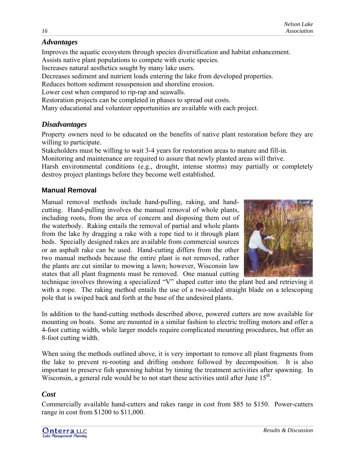# *Advantages*

Improves the aquatic ecosystem through species diversification and habitat enhancement. Assists native plant populations to compete with exotic species.

Increases natural aesthetics sought by many lake users.

Decreases sediment and nutrient loads entering the lake from developed properties.

Reduces bottom sediment resuspension and shoreline erosion.

Lower cost when compared to rip-rap and seawalls.

Restoration projects can be completed in phases to spread out costs.

Many educational and volunteer opportunities are available with each project.

## *Disadvantages*

Property owners need to be educated on the benefits of native plant restoration before they are willing to participate.

Stakeholders must be willing to wait 3-4 years for restoration areas to mature and fill-in.

Monitoring and maintenance are required to assure that newly planted areas will thrive.

Harsh environmental conditions (e.g., drought, intense storms) may partially or completely destroy project plantings before they become well established.

## **Manual Removal**

Manual removal methods include hand-pulling, raking, and handcutting. Hand-pulling involves the manual removal of whole plants, including roots, from the area of concern and disposing them out of the waterbody. Raking entails the removal of partial and whole plants from the lake by dragging a rake with a rope tied to it through plant beds. Specially designed rakes are available from commercial sources or an asphalt rake can be used. Hand-cutting differs from the other two manual methods because the entire plant is not removed, rather the plants are cut similar to mowing a lawn; however, Wisconsin law states that all plant fragments must be removed. One manual cutting



technique involves throwing a specialized "V" shaped cutter into the plant bed and retrieving it with a rope. The raking method entails the use of a two-sided straight blade on a telescoping pole that is swiped back and forth at the base of the undesired plants.

In addition to the hand-cutting methods described above, powered cutters are now available for mounting on boats. Some are mounted in a similar fashion to electric trolling motors and offer a 4-foot cutting width, while larger models require complicated mounting procedures, but offer an 8-foot cutting width.

When using the methods outlined above, it is very important to remove all plant fragments from the lake to prevent re-rooting and drifting onshore followed by decomposition. It is also important to preserve fish spawning habitat by timing the treatment activities after spawning. In Wisconsin, a general rule would be to not start these activities until after June  $15<sup>th</sup>$ .

# *Cost*

Commercially available hand-cutters and rakes range in cost from \$85 to \$150. Power-cutters range in cost from \$1200 to \$11,000.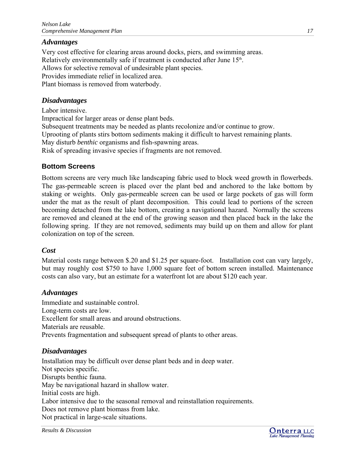## *Advantages*

Very cost effective for clearing areas around docks, piers, and swimming areas. Relatively environmentally safe if treatment is conducted after June 15<sup>th</sup>. Allows for selective removal of undesirable plant species. Provides immediate relief in localized area. Plant biomass is removed from waterbody.

## *Disadvantages*

Labor intensive.

Impractical for larger areas or dense plant beds. Subsequent treatments may be needed as plants recolonize and/or continue to grow. Uprooting of plants stirs bottom sediments making it difficult to harvest remaining plants. May disturb *benthic* organisms and fish-spawning areas. Risk of spreading invasive species if fragments are not removed.

### **Bottom Screens**

Bottom screens are very much like landscaping fabric used to block weed growth in flowerbeds. The gas-permeable screen is placed over the plant bed and anchored to the lake bottom by staking or weights. Only gas-permeable screen can be used or large pockets of gas will form under the mat as the result of plant decomposition. This could lead to portions of the screen becoming detached from the lake bottom, creating a navigational hazard. Normally the screens are removed and cleaned at the end of the growing season and then placed back in the lake the following spring. If they are not removed, sediments may build up on them and allow for plant colonization on top of the screen.

### *Cost*

Material costs range between \$.20 and \$1.25 per square-foot. Installation cost can vary largely, but may roughly cost \$750 to have 1,000 square feet of bottom screen installed. Maintenance costs can also vary, but an estimate for a waterfront lot are about \$120 each year.

### *Advantages*

Immediate and sustainable control. Long-term costs are low. Excellent for small areas and around obstructions. Materials are reusable. Prevents fragmentation and subsequent spread of plants to other areas.

### *Disadvantages*

Installation may be difficult over dense plant beds and in deep water. Not species specific. Disrupts benthic fauna. May be navigational hazard in shallow water. Initial costs are high. Labor intensive due to the seasonal removal and reinstallation requirements. Does not remove plant biomass from lake. Not practical in large-scale situations.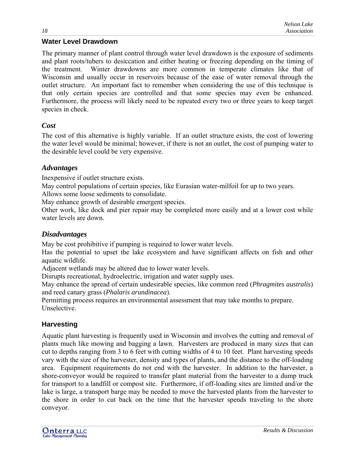## **Water Level Drawdown**

The primary manner of plant control through water level drawdown is the exposure of sediments and plant roots/tubers to desiccation and either heating or freezing depending on the timing of the treatment. Winter drawdowns are more common in temperate climates like that of Wisconsin and usually occur in reservoirs because of the ease of water removal through the outlet structure. An important fact to remember when considering the use of this technique is that only certain species are controlled and that some species may even be enhanced. Furthermore, the process will likely need to be repeated every two or three years to keep target species in check.

### *Cost*

The cost of this alternative is highly variable. If an outlet structure exists, the cost of lowering the water level would be minimal; however, if there is not an outlet, the cost of pumping water to the desirable level could be very expensive.

## *Advantages*

Inexpensive if outlet structure exists.

May control populations of certain species, like Eurasian water-milfoil for up to two years.

Allows some loose sediments to consolidate.

May enhance growth of desirable emergent species.

Other work, like dock and pier repair may be completed more easily and at a lower cost while water levels are down.

## *Disadvantages*

May be cost prohibitive if pumping is required to lower water levels.

Has the potential to upset the lake ecosystem and have significant affects on fish and other aquatic wildlife.

Adjacent wetlands may be altered due to lower water levels.

Disrupts recreational, hydroelectric, irrigation and water supply uses.

May enhance the spread of certain undesirable species, like common reed (*Phragmites australis*) and reed canary grass (*Phalaris arundinacea*).

Permitting process requires an environmental assessment that may take months to prepare. Unselective.

## **Harvesting**

Aquatic plant harvesting is frequently used in Wisconsin and involves the cutting and removal of plants much like mowing and bagging a lawn. Harvesters are produced in many sizes that can cut to depths ranging from 3 to 6 feet with cutting widths of 4 to 10 feet. Plant harvesting speeds vary with the size of the harvester, density and types of plants, and the distance to the off-loading area. Equipment requirements do not end with the harvester. In addition to the harvester, a shore-conveyor would be required to transfer plant material from the harvester to a dump truck for transport to a landfill or compost site. Furthermore, if off-loading sites are limited and/or the lake is large, a transport barge may be needed to move the harvested plants from the harvester to the shore in order to cut back on the time that the harvester spends traveling to the shore conveyor.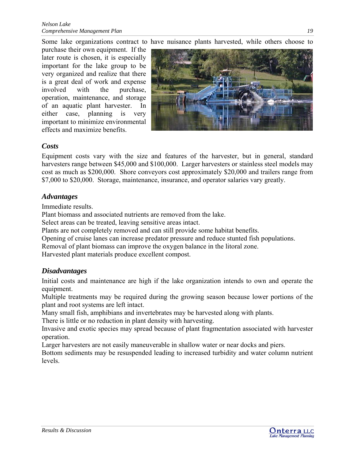Some lake organizations contract to have nuisance plants harvested, while others choose to

purchase their own equipment. If the later route is chosen, it is especially important for the lake group to be very organized and realize that there is a great deal of work and expense involved with the purchase, operation, maintenance, and storage of an aquatic plant harvester. In either case, planning is very important to minimize environmental effects and maximize benefits.



## *Costs*

Equipment costs vary with the size and features of the harvester, but in general, standard harvesters range between \$45,000 and \$100,000. Larger harvesters or stainless steel models may cost as much as \$200,000. Shore conveyors cost approximately \$20,000 and trailers range from \$7,000 to \$20,000. Storage, maintenance, insurance, and operator salaries vary greatly.

### *dvantages A*

Immediate results.

Plant biomass and associated nutrients are removed from the lake.

Select areas can be treated, leaving sensitive areas intact.

Plants are not completely removed and can still provide some habitat benefits.

Opening of cruise lanes can increase predator pressure and reduce stunted fish populations.

Removal of plant biomass can improve the oxygen balance in the litoral zone.

Harvested plant materials produce excellent compost.

## *Disadvantages*

Initial costs and maintenance are high if the lake organization intends to own and operate the equipment.

Multiple treatments may be required during the growing season because lower portions of the plant and root systems are left intact.

Many small fish, amphibians and invertebrates may be harvested along with plants.

There is little or no reduction in plant density with harvesting.

Invasive and exotic species may spread because of plant fragmentation associated with harvester operation.

Larger harvesters are not easily maneuverable in shallow water or near docks and piers.

Bottom sediments may be resuspended leading to increased turbidity and water column nutrient levels.

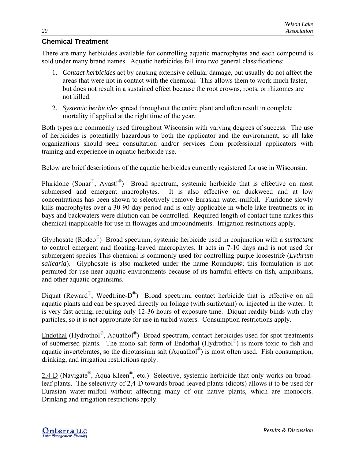## **Chemical Treatment**

There are many herbicides available for controlling aquatic macrophytes and each compound is sold under many brand names. Aquatic herbicides fall into two general classifications:

- 1. *Contact herbicides* act by causing extensive cellular damage, but usually do not affect the areas that were not in contact with the chemical. This allows them to work much faster, but does not result in a sustained effect because the root crowns, roots, or rhizomes are not killed.
- 2. *Systemic herbicides* spread throughout the entire plant and often result in complete mortality if applied at the right time of the year.

Both types are commonly used throughout Wisconsin with varying degrees of success. The use of herbicides is potentially hazardous to both the applicator and the environment, so all lake organizations should seek consultation and/or services from professional applicators with training and experience in aquatic herbicide use.

Below are brief descriptions of the aquatic herbicides currently registered for use in Wisconsin.

Fluridone (Sonar<sup>®</sup>, Avast!<sup>®</sup>) Broad spectrum, systemic herbicide that is effective on most submersed and emergent macrophytes. It is also effective on duckweed and at low concentrations has been shown to selectively remove Eurasian water-milfoil. Fluridone slowly kills macrophytes over a 30-90 day period and is only applicable in whole lake treatments or in bays and backwaters were dilution can be controlled. Required length of contact time makes this chemical inapplicable for use in flowages and impoundments. Irrigation restrictions apply.

Glyphosate (Rodeo®) Broad spectrum, systemic herbicide used in conjunction with a *surfactant* to control emergent and floating-leaved macrophytes. It acts in 7-10 days and is not used for submergent species This chemical is commonly used for controlling purple loosestrife (*Lythrum salicaria*). Glyphosate is also marketed under the name Roundup®; this formulation is not permited for use near aquatic environments because of its harmful effects on fish, amphibians, and other aquatic orgainsims.

Diquat (Reward<sup>®</sup>, Weedtrine-D<sup>®</sup>) Broad spectrum, contact herbicide that is effective on all aquatic plants and can be sprayed directly on foliage (with surfactant) or injected in the water. It is very fast acting, requiring only 12-36 hours of exposure time. Diquat readily binds with clay particles, so it is not appropriate for use in turbid waters. Consumption restrictions apply.

Endothal (Hydrothol®, Aquathol®) Broad spectrum, contact herbicides used for spot treatments of submersed plants. The mono-salt form of Endothal  $(Hydrothol<sup>®</sup>)$  is more toxic to fish and aquatic invertebrates, so the dipotassium salt  $(Aquathol^{\circledR})$  is most often used. Fish consumption, drinking, and irrigation restrictions apply.

 $2.4-D$  (Navigate<sup>®</sup>, Aqua-Kleen<sup>®</sup>, etc.) Selective, systemic herbicide that only works on broadleaf plants. The selectivity of 2,4-D towards broad-leaved plants (dicots) allows it to be used for Eurasian water-milfoil without affecting many of our native plants, which are monocots. Drinking and irrigation restrictions apply.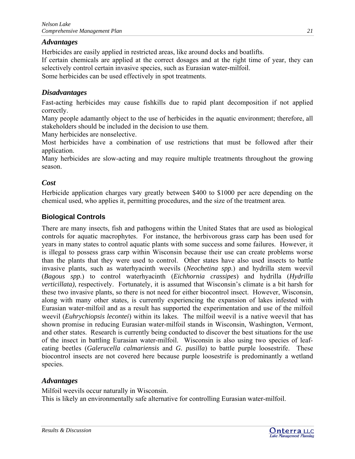## *Advantages*

Herbicides are easily applied in restricted areas, like around docks and boatlifts.

If certain chemicals are applied at the correct dosages and at the right time of year, they can selectively control certain invasive species, such as Eurasian water-milfoil.

Some herbicides can be used effectively in spot treatments.

# *Disadvantages*

Fast-acting herbicides may cause fishkills due to rapid plant decomposition if not applied correctly.

Many people adamantly object to the use of herbicides in the aquatic environment; therefore, all stakeholders should be included in the decision to use them.

Many herbicides are nonselective.

Most herbicides have a combination of use restrictions that must be followed after their application.

Many herbicides are slow-acting and may require multiple treatments throughout the growing season.

# *Cost*

Herbicide application charges vary greatly between \$400 to \$1000 per acre depending on the chemical used, who applies it, permitting procedures, and the size of the treatment area.

# **Biological Controls**

There are many insects, fish and pathogens within the United States that are used as biological controls for aquatic macrophytes. For instance, the herbivorous grass carp has been used for years in many states to control aquatic plants with some success and some failures. However, it is illegal to possess grass carp within Wisconsin because their use can create problems worse than the plants that they were used to control. Other states have also used insects to battle invasive plants, such as waterhyacinth weevils (*Neochetina spp.*) and hydrilla stem weevil (*Bagous spp.*) to control waterhyacinth (*Eichhornia crassipes*) and hydrilla (*Hydrilla verticillata)*, respectively. Fortunately, it is assumed that Wisconsin's climate is a bit harsh for these two invasive plants, so there is not need for either biocontrol insect. However, Wisconsin, along with many other states, is currently experiencing the expansion of lakes infested with Eurasian water-milfoil and as a result has supported the experimentation and use of the milfoil weevil (*Euhrychiopsis lecontei*) within its lakes. The milfoil weevil is a native weevil that has shown promise in reducing Eurasian water-milfoil stands in Wisconsin, Washington, Vermont, and other states. Research is currently being conducted to discover the best situations for the use of the insect in battling Eurasian water-milfoil. Wisconsin is also using two species of leafeating beetles (*Galerucella calmariensis* and *G. pusilla*) to battle purple loosestrife. These biocontrol insects are not covered here because purple loosestrife is predominantly a wetland species.

# *Advantages*

Milfoil weevils occur naturally in Wisconsin. This is likely an environmentally safe alternative for controlling Eurasian water-milfoil.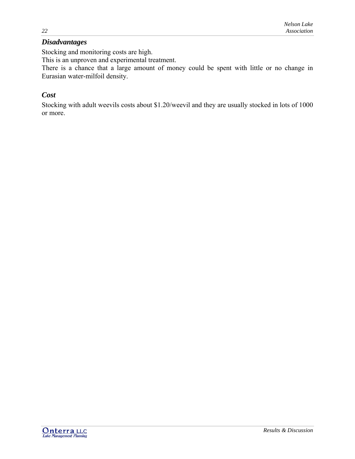# *Disadvantages*

Stocking and monitoring costs are high.

This is an unproven and experimental treatment.

There is a chance that a large amount of money could be spent with little or no change in Eurasian water-milfoil density.

# *Cost*

Stocking with adult weevils costs about \$1.20/weevil and they are usually stocked in lots of 1000 or more.

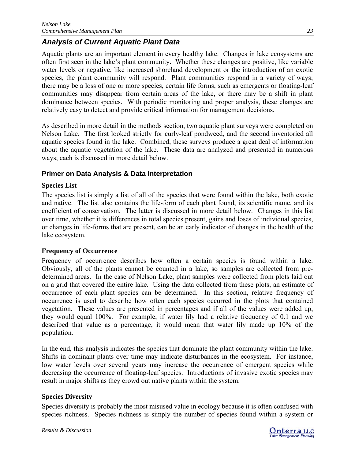# *Analysis of Current Aquatic Plant Data*

Aquatic plants are an important element in every healthy lake. Changes in lake ecosystems are often first seen in the lake's plant community. Whether these changes are positive, like variable water levels or negative, like increased shoreland development or the introduction of an exotic species, the plant community will respond. Plant communities respond in a variety of ways; there may be a loss of one or more species, certain life forms, such as emergents or floating-leaf communities may disappear from certain areas of the lake, or there may be a shift in plant dominance between species. With periodic monitoring and proper analysis, these changes are relatively easy to detect and provide critical information for management decisions.

As described in more detail in the methods section, two aquatic plant surveys were completed on Nelson Lake. The first looked strictly for curly-leaf pondweed, and the second inventoried all aquatic species found in the lake. Combined, these surveys produce a great deal of information about the aquatic vegetation of the lake. These data are analyzed and presented in numerous ways; each is discussed in more detail below.

## **Primer on Data Analysis & Data Interpretation**

## **Species List**

The species list is simply a list of all of the species that were found within the lake, both exotic and native. The list also contains the life-form of each plant found, its scientific name, and its coefficient of conservatism. The latter is discussed in more detail below. Changes in this list over time, whether it is differences in total species present, gains and loses of individual species, or changes in life-forms that are present, can be an early indicator of changes in the health of the lake ecosystem.

### **Frequency of Occurrence**

Frequency of occurrence describes how often a certain species is found within a lake. Obviously, all of the plants cannot be counted in a lake, so samples are collected from predetermined areas. In the case of Nelson Lake, plant samples were collected from plots laid out on a grid that covered the entire lake. Using the data collected from these plots, an estimate of occurrence of each plant species can be determined. In this section, relative frequency of occurrence is used to describe how often each species occurred in the plots that contained vegetation. These values are presented in percentages and if all of the values were added up, they would equal 100%. For example, if water lily had a relative frequency of 0.1 and we described that value as a percentage, it would mean that water lily made up 10% of the population.

In the end, this analysis indicates the species that dominate the plant community within the lake. Shifts in dominant plants over time may indicate disturbances in the ecosystem. For instance, low water levels over several years may increase the occurrence of emergent species while decreasing the occurrence of floating-leaf species. Introductions of invasive exotic species may result in major shifts as they crowd out native plants within the system.

### **Species Diversity**

Species diversity is probably the most misused value in ecology because it is often confused with species richness. Species richness is simply the number of species found within a system or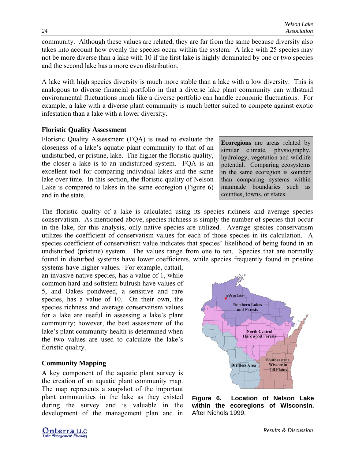community. Although these values are related, they are far from the same because diversity also takes into account how evenly the species occur within the system. A lake with 25 species may not be more diverse than a lake with 10 if the first lake is highly dominated by one or two species and the second lake has a more even distribution.

A lake with high species diversity is much more stable than a lake with a low diversity. This is analogous to diverse financial portfolio in that a diverse lake plant community can withstand environmental fluctuations much like a diverse portfolio can handle economic fluctuations. For example, a lake with a diverse plant community is much better suited to compete against exotic infestation than a lake with a lower diversity.

### **Floristic Quality Assessment**

Floristic Quality Assessment (FQA) is used to evaluate the closeness of a lake's aquatic plant community to that of an undisturbed, or pristine, lake. The higher the floristic quality, the closer a lake is to an undisturbed system. FQA is an excellent tool for comparing individual lakes and the same lake over time. In this section, the floristic quality of Nelson Lake is compared to lakes in the same ecoregion (Figure 6) and in the state.

**Ecoregions** are areas related by similar climate, physiography. similar climate, hydrology, vegetation and wildlife potential. Comparing ecosystems in the same ecoregion is sounder than comparing systems within manmade boundaries such as counties, towns, or states.

The floristic quality of a lake is calculated using its species richness and average species conservatism. As mentioned above, species richness is simply the number of species that occur in the lake, for this analysis, only native species are utilized. Average species conservatism utilizes the coefficient of conservatism values for each of those species in its calculation. A species coefficient of conservatism value indicates that species' likelihood of being found in an undisturbed (pristine) system. The values range from one to ten. Species that are normally found in disturbed systems have lower coefficients, while species frequently found in pristine

systems have higher values. For example, cattail, an invasive native species, has a value of 1, while common hard and softstem bulrush have values of 5, and Oakes pondweed, a sensitive and rare species, has a value of 10. On their own, the species richness and average conservatism values for a lake are useful in assessing a lake's plant community; however, the best assessment of the lake's plant community health is determined when the two values are used to calculate the lake's floristic quality.

## **Community Mapping**

A key component of the aquatic plant survey is the creation of an aquatic plant community map. The map represents a snapshot of the important plant communities in the lake as they existed during the survey and is valuable in the development of the management plan and in



**Northern Lakes** and Forests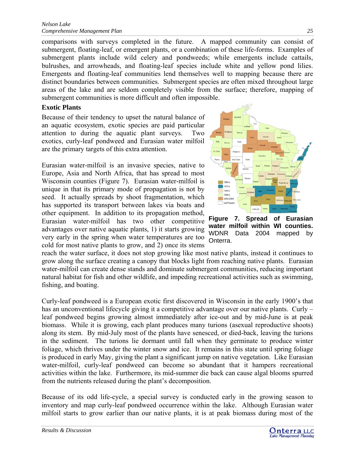comparisons with surveys completed in the future. A mapped community can consist of submergent, floating-leaf, or emergent plants, or a combination of these life-forms. Examples of submergent plants include wild celery and pondweeds; while emergents include cattails, bulrushes, and arrowheads, and floating-leaf species include white and yellow pond lilies. Emergents and floating-leaf communities lend themselves well to mapping because there are distinct boundaries between communities. Submergent species are often mixed throughout large areas of the lake and are seldom completely visible from the surface; therefore, mapping of submergent communities is more difficult and often impossible.

### **Exotic Plants**

Because of their tendency to upset the natural balance of an aquatic ecosystem, exotic species are paid particular attention to during the aquatic plant surveys. Two exotics, curly-leaf pondweed and Eurasian water milfoil are the primary targets of this extra attention.

Eurasian water-milfoil is an invasive species, native to Europe, Asia and North Africa, that has spread to most Wisconsin counties (Figure 7). Eurasian water-milfoil is unique in that its primary mode of propagation is not by seed. It actually spreads by shoot fragmentation, which has supported its transport between lakes via boats and other equipment. In addition to its propagation method, Eurasian water-milfoil has two other competitive advantages over native aquatic plants, 1) it starts growing very early in the spring when water temperatures are too cold for most native plants to grow, and 2) once its stems



**Figure 7. Spread of Eurasian water milfoil within WI counties.** WDNR Data 2004 mapped by Onterra.

reach the water surface, it does not stop growing like most native plants, instead it continues to grow along the surface creating a canopy that blocks light from reaching native plants. Eurasian water-milfoil can create dense stands and dominate submergent communities, reducing important natural habitat for fish and other wildlife, and impeding recreational activities such as swimming, fishing, and boating.

Curly-leaf pondweed is a European exotic first discovered in Wisconsin in the early 1900's that has an unconventional lifecycle giving it a competitive advantage over our native plants. Curly – leaf pondweed begins growing almost immediately after ice-out and by mid-June is at peak biomass. While it is growing, each plant produces many turions (asexual reproductive shoots) along its stem. By mid-July most of the plants have senesced, or died-back, leaving the turions in the sediment. The turions lie dormant until fall when they germinate to produce winter foliage, which thrives under the winter snow and ice. It remains in this state until spring foliage is produced in early May, giving the plant a significant jump on native vegetation. Like Eurasian water-milfoil, curly-leaf pondweed can become so abundant that it hampers recreational activities within the lake. Furthermore, its mid-summer die back can cause algal blooms spurred from the nutrients released during the plant's decomposition.

Because of its odd life-cycle, a special survey is conducted early in the growing season to inventory and map curly-leaf pondweed occurrence within the lake. Although Eurasian water milfoil starts to grow earlier than our native plants, it is at peak biomass during most of the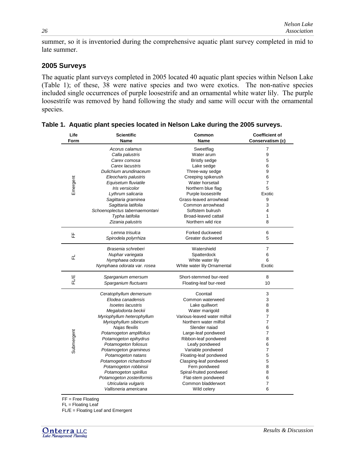summer, so it is inventoried during the comprehensive aquatic plant survey completed in mid to late summer.

### **2005 Surveys**

The aquatic plant surveys completed in 2005 located 40 aquatic plant species within Nelson Lake (Table 1); of these, 38 were native species and two were exotics. The non-native species included single occurrences of purple loosestrife and an ornamental white water lily. The purple loosestrife was removed by hand following the study and same will occur with the ornamental species.

| Life       | <b>Scientific</b>              | Common                       | <b>Coefficient of</b> |  |  |
|------------|--------------------------------|------------------------------|-----------------------|--|--|
| Form       | Name                           | Name                         | Conservatism (c)      |  |  |
|            | Acorus calamus                 | Sweetflag                    | $\overline{7}$        |  |  |
|            | Calla palustris                | Water arum                   | 9                     |  |  |
|            | Carex comosa                   | <b>Bristly sedge</b>         | 5                     |  |  |
|            | Carex lacustris                | Lake sedge                   | 6                     |  |  |
|            | Dulichium arundinaceum         | Three-way sedge              | 9                     |  |  |
|            | Eleocharis palustris           | Creeping spikerush           | 6                     |  |  |
| Emergent   | Equisetum fluviatile           | Water horsetail              | $\overline{7}$        |  |  |
|            | Iris versicolor                | Northern blue flag           | 5                     |  |  |
|            | Lythrum salicaria              | Purple loosestrife           | Exotic                |  |  |
|            | Sagittaria graminea            | Grass-leaved arrowhead       | 9                     |  |  |
|            | Sagittaria latifolia           | Common arrowhead             | 3                     |  |  |
|            | Schoenoplectus tabernaemontani | Softstem bulrush             | $\overline{4}$        |  |  |
|            | Typha latifolia                | Broad-leaved cattail         | 1                     |  |  |
|            | Zizania palustris              | Northern wild rice           | 8                     |  |  |
|            | Lemna trisulca                 | Forked duckweed              | 6                     |  |  |
| 뚠          | Spirodela polyrrhiza           | Greater duckweed             | 5                     |  |  |
|            |                                |                              |                       |  |  |
|            | Brasenia schreberi             | Watershield                  | $\overline{7}$        |  |  |
|            | Nuphar variegata               | Spatterdock                  | 6                     |  |  |
| 군          | Nymphaea odorata               | White water lily             | 6                     |  |  |
|            | Nymphaea odorata var. rosea    | White water lily Ornamental  | Exotic                |  |  |
|            | Sparganium emersum             | Short-stemmed bur-reed       | 8                     |  |  |
| FLVE       | Sparganium fluctuans           | Floating-leaf bur-reed       | 10                    |  |  |
|            |                                |                              |                       |  |  |
|            | Ceratophyllum demersum         | Coontail                     | 3                     |  |  |
|            | Elodea canadensis              | Common waterweed             | 3                     |  |  |
|            | <b>Isoetes lacustris</b>       | Lake quillwort               | 8                     |  |  |
|            | Megalodonta beckii             | Water marigold               | 8                     |  |  |
|            | Myriophyllum heterophyllum     | Various-leaved water milfoil | $\overline{7}$        |  |  |
|            | Myriophyllum sibiricum         | Northern water milfoil       | $\overline{7}$        |  |  |
|            | Najas flexilis                 | Slender naiad                | 6                     |  |  |
|            | Potamogeton amplifolius        | Large-leaf pondweed          | $\overline{7}$        |  |  |
|            | Potamogeton epihydrus          | Ribbon-leaf pondweed         | 8                     |  |  |
|            | Potamogeton foliosus           | Leafy pondweed               | 6                     |  |  |
| Submergent | Potamogeton gramineus          | Variable pondweed            | $\overline{7}$        |  |  |
|            | Potamogeton natans             | Floating-leaf pondweed       | 5                     |  |  |
|            | Potamogeton richardsonii       | Clasping-leaf pondweed       | 5                     |  |  |
|            | Potamogeton robbinsii          | Fern pondweed                | 8                     |  |  |
|            | Potamogeton spirillus          | Spiral-fruited pondweed      | 8                     |  |  |
|            | Potamogeton zosteriformis      | Flat-stem pondweed           | 6                     |  |  |
|            | Utricularia vulgaris           | Common bladderwort           | 7                     |  |  |
|            | Vallisneria americana          | Wild celery                  | 6                     |  |  |
|            |                                |                              |                       |  |  |

**Table 1. Aquatic plant species located in Nelson Lake during the 2005 surveys.** 

FF = Free Floating

FL = Floating Leaf

FL/E = Floating Leaf and Emergent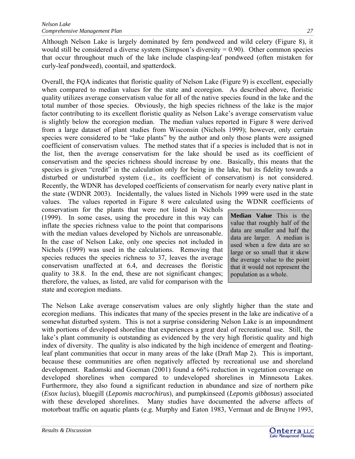Although Nelson Lake is largely dominated by fern pondweed and wild celery (Figure 8), it would still be considered a diverse system (Simpson's diversity  $= 0.90$ ). Other common species that occur throughout much of the lake include clasping-leaf pondweed (often mistaken for curly-leaf pondweed), coontail, and spatterdock.

Overall, the FQA indicates that floristic quality of Nelson Lake (Figure 9) is excellent, especially when compared to median values for the state and ecoregion. As described above, floristic quality utilizes average conservatism value for all of the native species found in the lake and the total number of those species. Obviously, the high species richness of the lake is the major factor contributing to its excellent floristic quality as Nelson Lake's average conservatism value is slightly below the ecoregion median. The median values reported in Figure 8 were derived from a large dataset of plant studies from Wisconsin (Nichols 1999); however, only certain species were considered to be "lake plants" by the author and only those plants were assigned coefficient of conservatism values. The method states that if a species is included that is not in the list, then the average conservatism for the lake should be used as its coefficient of conservatism and the species richness should increase by one. Basically, this means that the species is given "credit" in the calculation only for being in the lake, but its fidelity towards a disturbed or undisturbed system (i.e., its coefficient of conservatism) is not considered. Recently, the WDNR has developed coefficients of conservatism for nearly every native plant in the state (WDNR 2003). Incidentally, the values listed in Nichols 1999 were used in the state values. The values reported in Figure 8 were calculated using the WDNR coefficients of

conservatism for the plants that were not listed in Nichols (1999). In some cases, using the procedure in this way can inflate the species richness value to the point that comparisons with the median values developed by Nichols are unreasonable. In the case of Nelson Lake, only one species not included in Nichols (1999) was used in the calculations. Removing that species reduces the species richness to 37, leaves the average conservatism unaffected at 6.4, and decreases the floristic quality to 38.8. In the end, these are not significant changes; therefore, the values, as listed, are valid for comparison with the state and ecoregion medians.

**Median Value** This is the value that roughly half of the data are smaller and half the data are larger. A median is used when a few data are so large or so small that it skew the average value to the point that it would not represent the population as a whole.

The Nelson Lake average conservatism values are only slightly higher than the state and ecoregion medians. This indicates that many of the species present in the lake are indicative of a somewhat disturbed system. This is not a surprise considering Nelson Lake is an impoundment with portions of developed shoreline that experiences a great deal of recreational use. Still, the lake's plant community is outstanding as evidenced by the very high floristic quality and high index of diversity. The quality is also indicated by the high incidence of emergent and floatingleaf plant communities that occur in many areas of the lake (Draft Map 2). This is important, because these communities are often negatively affected by recreational use and shoreland development. Radomski and Goeman (2001) found a 66% reduction in vegetation coverage on developed shorelines when compared to undeveloped shorelines in Minnesota Lakes. Furthermore, they also found a significant reduction in abundance and size of northern pike (*Esox lucius*), bluegill (*Lepomis macrochirus*), and pumpkinseed (*Lepomis gibbosus*) associated with these developed shorelines. Many studies have documented the adverse affects of motorboat traffic on aquatic plants (e.g. Murphy and Eaton 1983, Vermaat and de Bruyne 1993,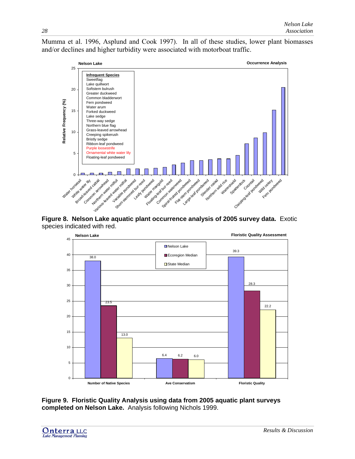Mumma et al. 1996, Asplund and Cook 1997). In all of these studies, lower plant biomasses and/or declines and higher turbidity were associated with motorboat traffic.



**Figure 8. Nelson Lake aquatic plant occurrence analysis of 2005 survey data.** Exotic species indicated with red.



**Figure 9. Floristic Quality Analysis using data from 2005 aquatic plant surveys completed on Nelson Lake.** Analysis following Nichols 1999.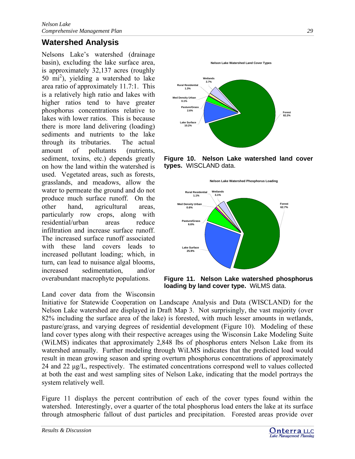# <span id="page-29-0"></span>**Watershed Analysis**

Nelsons Lake's watershed (drainage basin), excluding the lake surface area, is approximately 32,137 acres (roughly 50 mi<sup>2</sup> ), yielding a watershed to lake area ratio of approximately 11.7:1. This is a relatively high ratio and lakes with higher ratios tend to have greater phosphorus concentrations relative to lakes with lower ratios. This is because there is more land delivering (loading) sediments and nutrients to the lake through its tributaries. The actual amount of pollutants (nutrients, sediment, toxins, etc.) depends greatly on how the land within the watershed is used. Vegetated areas, such as forests, grasslands, and meadows, allow the water to permeate the ground and do not produce much surface runoff. On the other hand, agricultural areas, particularly row crops, along with residential/urban areas reduce infiltration and increase surface runoff. The increased surface runoff associated with these land covers leads to increased pollutant loading; which, in turn, can lead to nuisance algal blooms, increased sedimentation, and/or overabundant macrophyte populations.

Land cover data from the Wisconsin



**Figure 10. Nelson Lake watershed land cover types.** WISCLAND data.





**Figure 11. Nelson Lake watershed phosphorus loading by land cover type.** WiLMS data.

Initiative for Statewide Cooperation on Landscape Analysis and Data (WISCLAND) for the Nelson Lake watershed are displayed in Draft Map 3. Not surprisingly, the vast majority (over 82% including the surface area of the lake) is forested, with much lesser amounts in wetlands, pasture/grass, and varying degrees of residential development (Figure 10). Modeling of these land cover types along with their respective acreages using the Wisconsin Lake Modeling Suite (WiLMS) indicates that approximately 2,848 lbs of phosphorus enters Nelson Lake from its watershed annually. Further modeling through WiLMS indicates that the predicted load would result in mean growing season and spring overturn phosphorus concentrations of approximately 24 and 22 μg/L, respectively. The estimated concentrations correspond well to values collected at both the east and west sampling sites of Nelson Lake, indicating that the model portrays the system relatively well.

Figure 11 displays the percent contribution of each of the cover types found within the watershed. Interestingly, over a quarter of the total phosphorus load enters the lake at its surface through atmospheric fallout of dust particles and precipitation. Forested areas provide over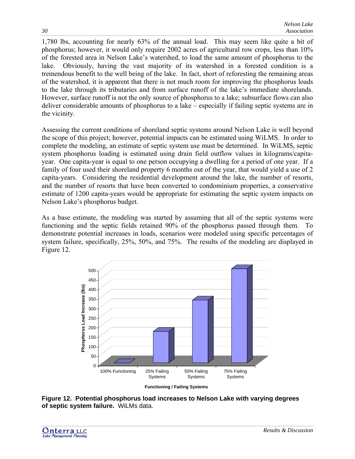1,780 lbs, accounting for nearly 63% of the annual load. This may seem like quite a bit of phosphorus; however, it would only require 2002 acres of agricultural row crops, less than 10% of the forested area in Nelson Lake's watershed, to load the same amount of phosphorus to the lake. Obviously, having the vast majority of its watershed in a forested condition is a tremendous benefit to the well being of the lake. In fact, short of reforesting the remaining areas of the watershed, it is apparent that there is not much room for improving the phosphorus loads to the lake through its tributaries and from surface runoff of the lake's immediate shorelands. However, surface runoff is not the only source of phosphorus to a lake; subsurface flows can also deliver considerable amounts of phosphorus to a lake – especially if failing septic systems are in the vicinity.

Assessing the current conditions of shoreland septic systems around Nelson Lake is well beyond the scope of this project; however, potential impacts can be estimated using WiLMS. In order to complete the modeling, an estimate of septic system use must be determined. In WiLMS, septic system phosphorus loading is estimated using drain field outflow values in kilograms/capitayear. One capita-year is equal to one person occupying a dwelling for a period of one year. If a family of four used their shoreland property 6 months out of the year, that would yield a use of 2 capita-years. Considering the residential development around the lake, the number of resorts, and the number of resorts that have been converted to condominium properties, a conservative estimate of 1200 capita-years would be appropriate for estimating the septic system impacts on Nelson Lake's phosphorus budget.

As a base estimate, the modeling was started by assuming that all of the septic systems were functioning and the septic fields retained 90% of the phosphorus passed through them. To demonstrate potential increases in loads, scenarios were modeled using specific percentages of system failure, specifically, 25%, 50%, and 75%. The results of the modeling are displayed in Figure 12.



**Figure 12. Potential phosphorus load increases to Nelson Lake with varying degrees of septic system failure.** WiLMs data.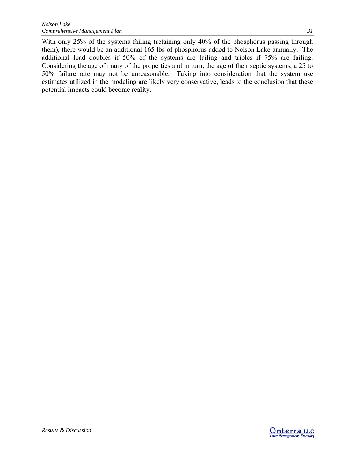With only 25% of the systems failing (retaining only 40% of the phosphorus passing through them), there would be an additional 165 lbs of phosphorus added to Nelson Lake annually. The additional load doubles if 50% of the systems are failing and triples if 75% are failing. Considering the age of many of the properties and in turn, the age of their septic systems, a 25 to 50% failure rate may not be unreasonable. Taking into consideration that the system use estimates utilized in the modeling are likely very conservative, leads to the conclusion that these potential impacts could become reality.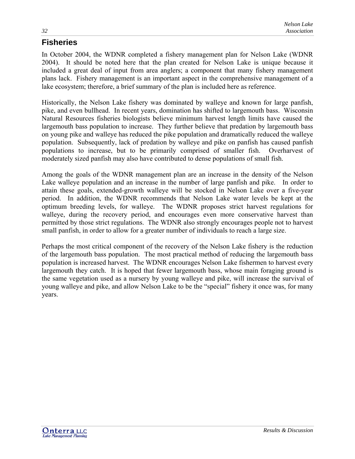# <span id="page-32-0"></span>**Fisheries**

In October 2004, the WDNR completed a fishery management plan for Nelson Lake (WDNR 2004). It should be noted here that the plan created for Nelson Lake is unique because it included a great deal of input from area anglers; a component that many fishery management plans lack. Fishery management is an important aspect in the comprehensive management of a lake ecosystem; therefore, a brief summary of the plan is included here as reference.

Historically, the Nelson Lake fishery was dominated by walleye and known for large panfish, pike, and even bullhead. In recent years, domination has shifted to largemouth bass. Wisconsin Natural Resources fisheries biologists believe minimum harvest length limits have caused the largemouth bass population to increase. They further believe that predation by largemouth bass on young pike and walleye has reduced the pike population and dramatically reduced the walleye population. Subsequently, lack of predation by walleye and pike on panfish has caused panfish populations to increase, but to be primarily comprised of smaller fish. Overharvest of moderately sized panfish may also have contributed to dense populations of small fish.

Among the goals of the WDNR management plan are an increase in the density of the Nelson Lake walleye population and an increase in the number of large panfish and pike. In order to attain these goals, extended-growth walleye will be stocked in Nelson Lake over a five-year period. In addition, the WDNR recommends that Nelson Lake water levels be kept at the optimum breeding levels, for walleye. The WDNR proposes strict harvest regulations for walleye, during the recovery period, and encourages even more conservative harvest than permitted by those strict regulations. The WDNR also strongly encourages people not to harvest small panfish, in order to allow for a greater number of individuals to reach a large size.

Perhaps the most critical component of the recovery of the Nelson Lake fishery is the reduction of the largemouth bass population. The most practical method of reducing the largemouth bass population is increased harvest. The WDNR encourages Nelson Lake fishermen to harvest every largemouth they catch. It is hoped that fewer largemouth bass, whose main foraging ground is the same vegetation used as a nursery by young walleye and pike, will increase the survival of young walleye and pike, and allow Nelson Lake to be the "special" fishery it once was, for many years.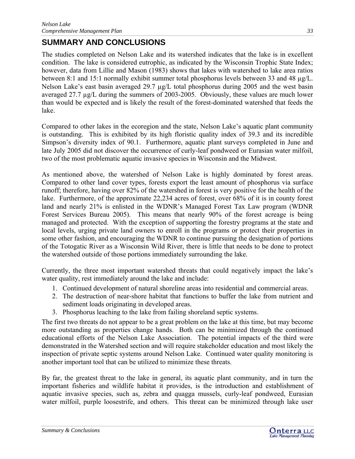# <span id="page-33-0"></span>**SUMMARY AND CONCLUSIONS**

The studies completed on Nelson Lake and its watershed indicates that the lake is in excellent condition. The lake is considered eutrophic, as indicated by the Wisconsin Trophic State Index; however, data from Lillie and Mason (1983) shows that lakes with watershed to lake area ratios between 8:1 and 15:1 normally exhibit summer total phosphorus levels between 33 and 48 µg/L. Nelson Lake's east basin averaged 29.7  $\mu$ g/L total phosphorus during 2005 and the west basin averaged 27.7 µg/L during the summers of 2003-2005. Obviously, these values are much lower than would be expected and is likely the result of the forest-dominated watershed that feeds the lake.

Compared to other lakes in the ecoregion and the state, Nelson Lake's aquatic plant community is outstanding. This is exhibited by its high floristic quality index of 39.3 and its incredible Simpson's diversity index of 90.1. Furthermore, aquatic plant surveys completed in June and late July 2005 did not discover the occurrence of curly-leaf pondweed or Eurasian water milfoil, two of the most problematic aquatic invasive species in Wisconsin and the Midwest.

As mentioned above, the watershed of Nelson Lake is highly dominated by forest areas. Compared to other land cover types, forests export the least amount of phosphorus via surface runoff; therefore, having over 82% of the watershed in forest is very positive for the health of the lake. Furthermore, of the approximate 22,234 acres of forest, over 68% of it is in county forest land and nearly 21% is enlisted in the WDNR's Managed Forest Tax Law program (WDNR Forest Services Bureau 2005). This means that nearly 90% of the forest acreage is being managed and protected. With the exception of supporting the forestry programs at the state and local levels, urging private land owners to enroll in the programs or protect their properties in some other fashion, and encouraging the WDNR to continue pursuing the designation of portions of the Totogatic River as a Wisconsin Wild River, there is little that needs to be done to protect the watershed outside of those portions immediately surrounding the lake.

Currently, the three most important watershed threats that could negatively impact the lake's water quality, rest immediately around the lake and include:

- 1. Continued development of natural shoreline areas into residential and commercial areas.
- 2. The destruction of near-shore habitat that functions to buffer the lake from nutrient and sediment loads originating in developed areas.
- 3. Phosphorus leaching to the lake from failing shoreland septic systems.

The first two threats do not appear to be a great problem on the lake at this time, but may become more outstanding as properties change hands. Both can be minimized through the continued educational efforts of the Nelson Lake Association. The potential impacts of the third were demonstrated in the Watershed section and will require stakeholder education and most likely the inspection of private septic systems around Nelson Lake. Continued water quality monitoring is another important tool that can be utilized to minimize these threats.

By far, the greatest threat to the lake in general, its aquatic plant community, and in turn the important fisheries and wildlife habitat it provides, is the introduction and establishment of aquatic invasive species, such as, zebra and quagga mussels, curly-leaf pondweed, Eurasian water milfoil, purple loosestrife, and others. This threat can be minimized through lake user

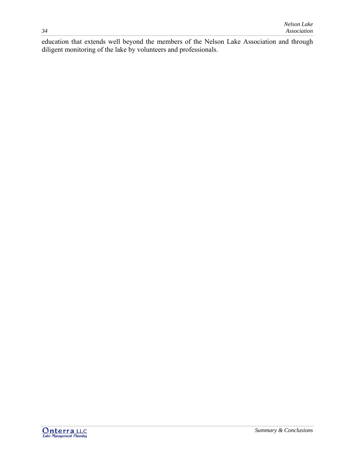education that extends well beyond the members of the Nelson Lake Association and through diligent monitoring of the lake by volunteers and professionals.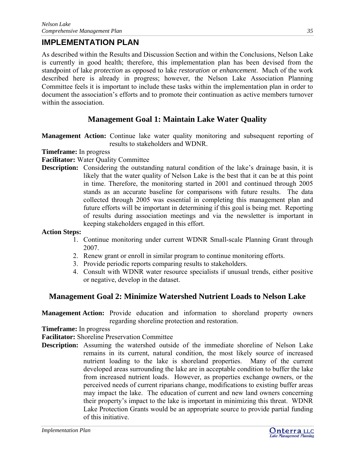# <span id="page-35-0"></span>**IMPLEMENTATION PLAN**

As described within the Results and Discussion Section and within the Conclusions, Nelson Lake is currently in good health; therefore, this implementation plan has been devised from the standpoint of lake *protection* as opposed to lake *restoration* or *enhancement*. Much of the work described here is already in progress; however, the Nelson Lake Association Planning Committee feels it is important to include these tasks within the implementation plan in order to document the association's efforts and to promote their continuation as active members turnover within the association.

# **Management Goal 1: Maintain Lake Water Quality**

**Management Action:** Continue lake water quality monitoring and subsequent reporting of results to stakeholders and WDNR.

#### **Timeframe:** In progress

- **Facilitator:** Water Quality Committee
- **Description:** Considering the outstanding natural condition of the lake's drainage basin, it is likely that the water quality of Nelson Lake is the best that it can be at this point in time. Therefore, the monitoring started in 2001 and continued through 2005 stands as an accurate baseline for comparisons with future results. The data collected through 2005 was essential in completing this management plan and future efforts will be important in determining if this goal is being met. Reporting of results during association meetings and via the newsletter is important in keeping stakeholders engaged in this effort.

### **Action Steps:**

- 1. Continue monitoring under current WDNR Small-scale Planning Grant through 2007.
- 2. Renew grant or enroll in similar program to continue monitoring efforts.
- 3. Provide periodic reports comparing results to stakeholders.
- 4. Consult with WDNR water resource specialists if unusual trends, either positive or negative, develop in the dataset.

## **Management Goal 2: Minimize Watershed Nutrient Loads to Nelson Lake**

**Management Action:** Provide education and information to shoreland property owners regarding shoreline protection and restoration.

**Timeframe:** In progress

**Facilitator:** Shoreline Preservation Committee

**Description:** Assuming the watershed outside of the immediate shoreline of Nelson Lake remains in its current, natural condition, the most likely source of increased nutrient loading to the lake is shoreland properties. Many of the current developed areas surrounding the lake are in acceptable condition to buffer the lake from increased nutrient loads. However, as properties exchange owners, or the perceived needs of current riparians change, modifications to existing buffer areas may impact the lake. The education of current and new land owners concerning their property's impact to the lake is important in minimizing this threat. WDNR Lake Protection Grants would be an appropriate source to provide partial funding of this initiative.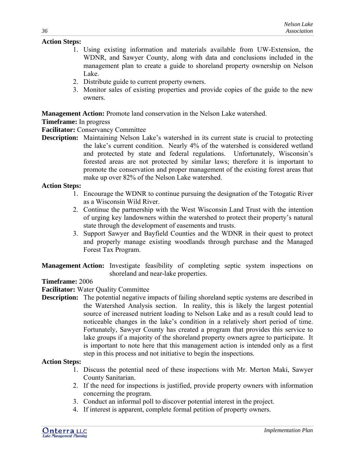#### **Action Steps:**

- 1. Using existing information and materials available from UW-Extension, the WDNR, and Sawyer County, along with data and conclusions included in the management plan to create a guide to shoreland property ownership on Nelson Lake.
- 2. Distribute guide to current property owners.
- 3. Monitor sales of existing properties and provide copies of the guide to the new owners.

**Management Action:** Promote land conservation in the Nelson Lake watershed.

### **Timeframe:** In progress

**Facilitator:** Conservancy Committee

**Description:** Maintaining Nelson Lake's watershed in its current state is crucial to protecting the lake's current condition. Nearly 4% of the watershed is considered wetland and protected by state and federal regulations. Unfortunately, Wisconsin's forested areas are not protected by similar laws; therefore it is important to promote the conservation and proper management of the existing forest areas that make up over 82% of the Nelson Lake watershed.

#### **Action Steps:**

- 1. Encourage the WDNR to continue pursuing the designation of the Totogatic River as a Wisconsin Wild River.
- 2. Continue the partnership with the West Wisconsin Land Trust with the intention of urging key landowners within the watershed to protect their property's natural state through the development of easements and trusts.
- 3. Support Sawyer and Bayfield Counties and the WDNR in their quest to protect and properly manage existing woodlands through purchase and the Managed Forest Tax Program.
- **Management Action:** Investigate feasibility of completing septic system inspections on shoreland and near-lake properties.

#### **Timeframe:** 2006

**Facilitator:** Water Quality Committee

**Description:** The potential negative impacts of failing shoreland septic systems are described in the Watershed Analysis section. In reality, this is likely the largest potential source of increased nutrient loading to Nelson Lake and as a result could lead to noticeable changes in the lake's condition in a relatively short period of time. Fortunately, Sawyer County has created a program that provides this service to lake groups if a majority of the shoreland property owners agree to participate. It is important to note here that this management action is intended only as a first step in this process and not initiative to begin the inspections.

#### **Action Steps:**

- 1. Discuss the potential need of these inspections with Mr. Merton Maki, Sawyer County Sanitarian.
- 2. If the need for inspections is justified, provide property owners with information concerning the program.
- 3. Conduct an informal poll to discover potential interest in the project.
- 4. If interest is apparent, complete formal petition of property owners.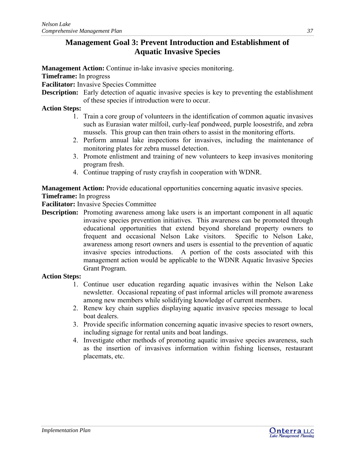# **Management Goal 3: Prevent Introduction and Establishment of Aquatic Invasive Species**

**Management Action:** Continue in-lake invasive species monitoring.

**Timeframe:** In progress

**Facilitator:** Invasive Species Committee

**Description:** Early detection of aquatic invasive species is key to preventing the establishment of these species if introduction were to occur.

#### **Action Steps:**

- 1. Train a core group of volunteers in the identification of common aquatic invasives such as Eurasian water milfoil, curly-leaf pondweed, purple loosestrife, and zebra mussels. This group can then train others to assist in the monitoring efforts.
- 2. Perform annual lake inspections for invasives, including the maintenance of monitoring plates for zebra mussel detection.
- 3. Promote enlistment and training of new volunteers to keep invasives monitoring program fresh.
- 4. Continue trapping of rusty crayfish in cooperation with WDNR.

**Management Action:** Provide educational opportunities concerning aquatic invasive species.

#### **Timeframe:** In progress

**Facilitator:** Invasive Species Committee

**Description:** Promoting awareness among lake users is an important component in all aquatic invasive species prevention initiatives. This awareness can be promoted through educational opportunities that extend beyond shoreland property owners to frequent and occasional Nelson Lake visitors. Specific to Nelson Lake, awareness among resort owners and users is essential to the prevention of aquatic invasive species introductions. A portion of the costs associated with this management action would be applicable to the WDNR Aquatic Invasive Species Grant Program.

#### **Action Steps:**

- 1. Continue user education regarding aquatic invasives within the Nelson Lake newsletter. Occasional repeating of past informal articles will promote awareness among new members while solidifying knowledge of current members.
- 2. Renew key chain supplies displaying aquatic invasive species message to local boat dealers.
- 3. Provide specific information concerning aquatic invasive species to resort owners, including signage for rental units and boat landings.
- 4. Investigate other methods of promoting aquatic invasive species awareness, such as the insertion of invasives information within fishing licenses, restaurant placemats, etc.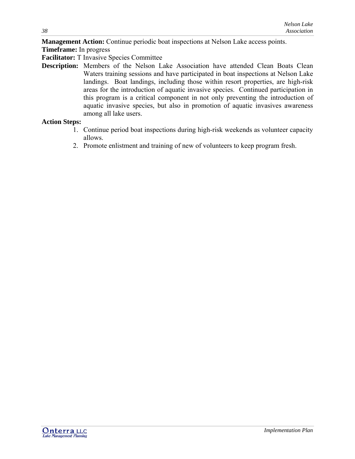**Management Action:** Continue periodic boat inspections at Nelson Lake access points.

**Timeframe:** In progress

**Facilitator:** T Invasive Species Committee

**Description:** Members of the Nelson Lake Association have attended Clean Boats Clean Waters training sessions and have participated in boat inspections at Nelson Lake landings. Boat landings, including those within resort properties, are high-risk areas for the introduction of aquatic invasive species. Continued participation in this program is a critical component in not only preventing the introduction of aquatic invasive species, but also in promotion of aquatic invasives awareness among all lake users.

#### **Action Steps:**

- 1. Continue period boat inspections during high-risk weekends as volunteer capacity allows.
- 2. Promote enlistment and training of new of volunteers to keep program fresh.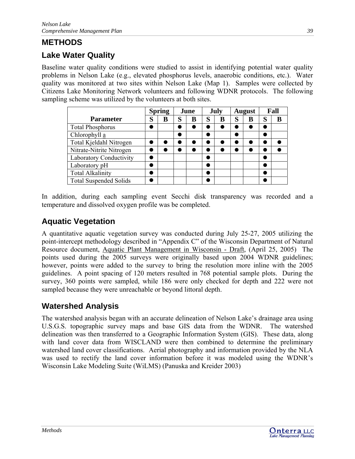# <span id="page-39-0"></span>**METHODS**

# **Lake Water Quality**

Baseline water quality conditions were studied to assist in identifying potential water quality problems in Nelson Lake (e.g., elevated phosphorus levels, anaerobic conditions, etc.). Water quality was monitored at two sites within Nelson Lake (Map 1). Samples were collected by Citizens Lake Monitoring Network volunteers and following WDNR protocols. The following sampling scheme was utilized by the volunteers at both sites.

|                                | <b>Spring</b> |   | June |   | July |   | <b>August</b> |   | Fall |   |
|--------------------------------|---------------|---|------|---|------|---|---------------|---|------|---|
| <b>Parameter</b>               | S             | в | S    | в | S    | B | S             | B | S    | B |
| <b>Total Phosphorus</b>        |               |   |      |   |      |   |               |   |      |   |
| Chlorophyll a                  |               |   |      |   |      |   |               |   |      |   |
| Total Kjeldahl Nitrogen        |               |   |      |   |      |   |               |   |      |   |
| Nitrate-Nitrite Nitrogen       |               |   |      |   |      |   |               |   |      |   |
| <b>Laboratory Conductivity</b> |               |   |      |   |      |   |               |   |      |   |
| Laboratory pH                  |               |   |      |   |      |   |               |   |      |   |
| <b>Total Alkalinity</b>        |               |   |      |   |      |   |               |   |      |   |
| <b>Total Suspended Solids</b>  |               |   |      |   |      |   |               |   |      |   |

In addition, during each sampling event Secchi disk transparency was recorded and a temperature and dissolved oxygen profile was be completed.

# **Aquatic Vegetation**

A quantitative aquatic vegetation survey was conducted during July 25-27, 2005 utilizing the point-intercept methodology described in "Appendix C" of the Wisconsin Department of Natural Resource document, Aquatic Plant Management in Wisconsin - Draft, (April 25, 2005) The points used during the 2005 surveys were originally based upon 2004 WDNR guidelines; however, points were added to the survey to bring the resolution more inline with the 2005 guidelines. A point spacing of 120 meters resulted in 768 potential sample plots. During the survey, 360 points were sampled, while 186 were only checked for depth and 222 were not sampled because they were unreachable or beyond littoral depth.

# **Watershed Analysis**

The watershed analysis began with an accurate delineation of Nelson Lake's drainage area using U.S.G.S. topographic survey maps and base GIS data from the WDNR. The watershed delineation was then transferred to a Geographic Information System (GIS). These data, along with land cover data from WISCLAND were then combined to determine the preliminary watershed land cover classifications. Aerial photography and information provided by the NLA was used to rectify the land cover information before it was modeled using the WDNR's Wisconsin Lake Modeling Suite (WiLMS) (Panuska and Kreider 2003)